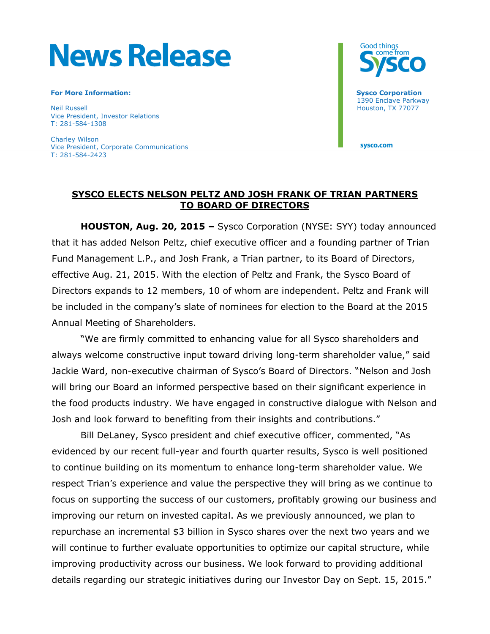# **News Release**

#### **For More Information:** Sysco Corporation: Sysco Corporation: Sysco Corporation: Sysco Corporation: Sysco Corporation: Sysco Corporation: Sysco Corporation: Sysco Corporation: Sysco Corporation: Sysco Corporation: Sysco Co

Neil Russell Houston, TX 77077 Vice President, Investor Relations T: 281-584-1308

Charley Wilson Vice President, Corporate Communications T: 281-584-2423



1390 Enclave Parkway

sysco.com

## **SYSCO ELECTS NELSON PELTZ AND JOSH FRANK OF TRIAN PARTNERS TO BOARD OF DIRECTORS**

**HOUSTON, Aug. 20, 2015 –** Sysco Corporation (NYSE: SYY) today announced that it has added Nelson Peltz, chief executive officer and a founding partner of Trian Fund Management L.P., and Josh Frank, a Trian partner, to its Board of Directors, effective Aug. 21, 2015. With the election of Peltz and Frank, the Sysco Board of Directors expands to 12 members, 10 of whom are independent. Peltz and Frank will be included in the company's slate of nominees for election to the Board at the 2015 Annual Meeting of Shareholders.

"We are firmly committed to enhancing value for all Sysco shareholders and always welcome constructive input toward driving long-term shareholder value," said Jackie Ward, non-executive chairman of Sysco's Board of Directors. "Nelson and Josh will bring our Board an informed perspective based on their significant experience in the food products industry. We have engaged in constructive dialogue with Nelson and Josh and look forward to benefiting from their insights and contributions."

Bill DeLaney, Sysco president and chief executive officer, commented, "As evidenced by our recent full-year and fourth quarter results, Sysco is well positioned to continue building on its momentum to enhance long-term shareholder value. We respect Trian's experience and value the perspective they will bring as we continue to focus on supporting the success of our customers, profitably growing our business and improving our return on invested capital. As we previously announced, we plan to repurchase an incremental \$3 billion in Sysco shares over the next two years and we will continue to further evaluate opportunities to optimize our capital structure, while improving productivity across our business. We look forward to providing additional details regarding our strategic initiatives during our Investor Day on Sept. 15, 2015."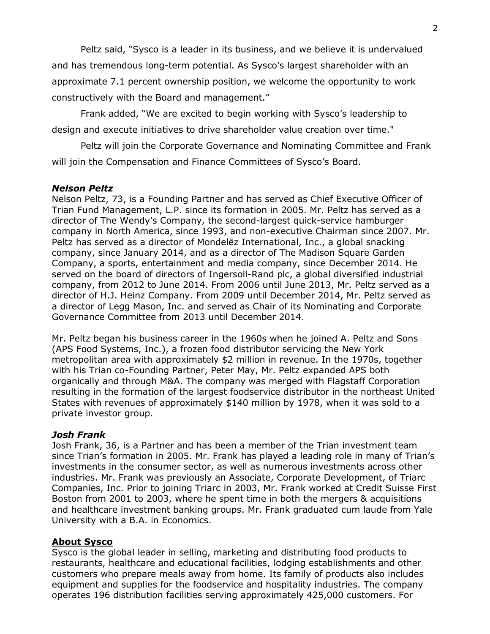Peltz said, "Sysco is a leader in its business, and we believe it is undervalued and has tremendous long-term potential. As Sysco's largest shareholder with an approximate 7.1 percent ownership position, we welcome the opportunity to work constructively with the Board and management."

Frank added, "We are excited to begin working with Sysco's leadership to design and execute initiatives to drive shareholder value creation over time."

Peltz will join the Corporate Governance and Nominating Committee and Frank will join the Compensation and Finance Committees of Sysco's Board.

### *Nelson Peltz*

Nelson Peltz, 73, is a Founding Partner and has served as Chief Executive Officer of Trian Fund Management, L.P. since its formation in 2005. Mr. Peltz has served as a director of The Wendy's Company, the second-largest quick-service hamburger company in North America, since 1993, and non-executive Chairman since 2007. Mr. Peltz has served as a director of Mondelēz International, Inc., a global snacking company, since January 2014, and as a director of The Madison Square Garden Company, a sports, entertainment and media company, since December 2014. He served on the board of directors of Ingersoll-Rand plc, a global diversified industrial company, from 2012 to June 2014. From 2006 until June 2013, Mr. Peltz served as a director of H.J. Heinz Company. From 2009 until December 2014, Mr. Peltz served as a director of Legg Mason, Inc. and served as Chair of its Nominating and Corporate Governance Committee from 2013 until December 2014.

Mr. Peltz began his business career in the 1960s when he joined A. Peltz and Sons (APS Food Systems, Inc.), a frozen food distributor servicing the New York metropolitan area with approximately \$2 million in revenue. In the 1970s, together with his Trian co-Founding Partner, Peter May, Mr. Peltz expanded APS both organically and through M&A. The company was merged with Flagstaff Corporation resulting in the formation of the largest foodservice distributor in the northeast United States with revenues of approximately \$140 million by 1978, when it was sold to a private investor group.

### *Josh Frank*

Josh Frank, 36, is a Partner and has been a member of the Trian investment team since Trian's formation in 2005. Mr. Frank has played a leading role in many of Trian's investments in the consumer sector, as well as numerous investments across other industries. Mr. Frank was previously an Associate, Corporate Development, of Triarc Companies, Inc. Prior to joining Triarc in 2003, Mr. Frank worked at Credit Suisse First Boston from 2001 to 2003, where he spent time in both the mergers & acquisitions and healthcare investment banking groups. Mr. Frank graduated cum laude from Yale University with a B.A. in Economics.

### **About Sysco**

Sysco is the global leader in selling, marketing and distributing food products to restaurants, healthcare and educational facilities, lodging establishments and other customers who prepare meals away from home. Its family of products also includes equipment and supplies for the foodservice and hospitality industries. The company operates 196 distribution facilities serving approximately 425,000 customers. For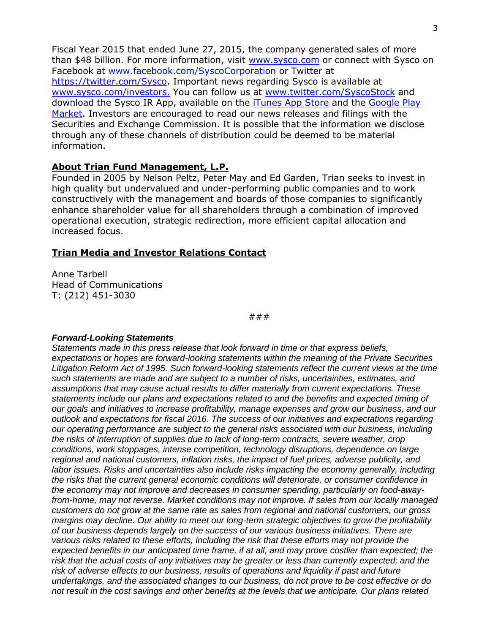Fiscal Year 2015 that ended June 27, 2015, the company generated sales of more than \$48 billion. For more information, visit [www.sysco.com](http://www.sysco.com/) or connect with Sysco on Facebook at [www.facebook.com/SyscoCorporation](http://www.facebook.com/SyscoCorporation) or Twitter at [https://twitter.com/Sysco.](https://twitter.com/Sysco) Important news regarding Sysco is available at [www.sysco.com/investors.](http://www.sysco.com/investors) You can follow us at [www.twitter.com/SyscoStock](http://www.twitter.com/SyscoStock) and download the Sysco IR App, available on the [iTunes App Store](https://itunes.apple.com/app/sysco-ir/id547105089?mt=8) and the [Google Play](https://play.google.com/store/apps/details?id=com.theirapp.sysco&feature=search_result#?t=W10)  [Market.](https://play.google.com/store/apps/details?id=com.theirapp.sysco&feature=search_result#?t=W10) Investors are encouraged to read our news releases and filings with the Securities and Exchange Commission. It is possible that the information we disclose through any of these channels of distribution could be deemed to be material information.

#### **About Trian Fund Management, L.P.**

Founded in 2005 by Nelson Peltz, Peter May and Ed Garden, Trian seeks to invest in high quality but undervalued and under-performing public companies and to work constructively with the management and boards of those companies to significantly enhance shareholder value for all shareholders through a combination of improved operational execution, strategic redirection, more efficient capital allocation and increased focus.

#### **Trian Media and Investor Relations Contact**

Anne Tarbell Head of Communications T: (212) 451-3030

###

#### *Forward-Looking Statements*

*Statements made in this press release that look forward in time or that express beliefs, expectations or hopes are forward-looking statements within the meaning of the Private Securities Litigation Reform Act of 1995. Such forward-looking statements reflect the current views at the time such statements are made and are subject to a number of risks, uncertainties, estimates, and assumptions that may cause actual results to differ materially from current expectations. These statements include our plans and expectations related to and the benefits and expected timing of our goals and initiatives to increase profitability, manage expenses and grow our business, and our outlook and expectations for fiscal 2016. The success of our initiatives and expectations regarding our operating performance are subject to the general risks associated with our business, including the risks of interruption of supplies due to lack of long-term contracts, severe weather, crop conditions, work stoppages, intense competition, technology disruptions, dependence on large regional and national customers, inflation risks, the impact of fuel prices, adverse publicity, and labor issues. Risks and uncertainties also include risks impacting the economy generally, including the risks that the current general economic conditions will deteriorate, or consumer confidence in the economy may not improve and decreases in consumer spending, particularly on food-awayfrom-home, may not reverse. Market conditions may not improve. If sales from our locally managed customers do not grow at the same rate as sales from regional and national customers, our gross margins may decline. Our ability to meet our long-term strategic objectives to grow the profitability of our business depends largely on the success of our various business initiatives. There are various risks related to these efforts, including the risk that these efforts may not provide the expected benefits in our anticipated time frame, if at all, and may prove costlier than expected; the risk that the actual costs of any initiatives may be greater or less than currently expected; and the risk of adverse effects to our business, results of operations and liquidity if past and future undertakings, and the associated changes to our business, do not prove to be cost effective or do not result in the cost savings and other benefits at the levels that we anticipate. Our plans related*